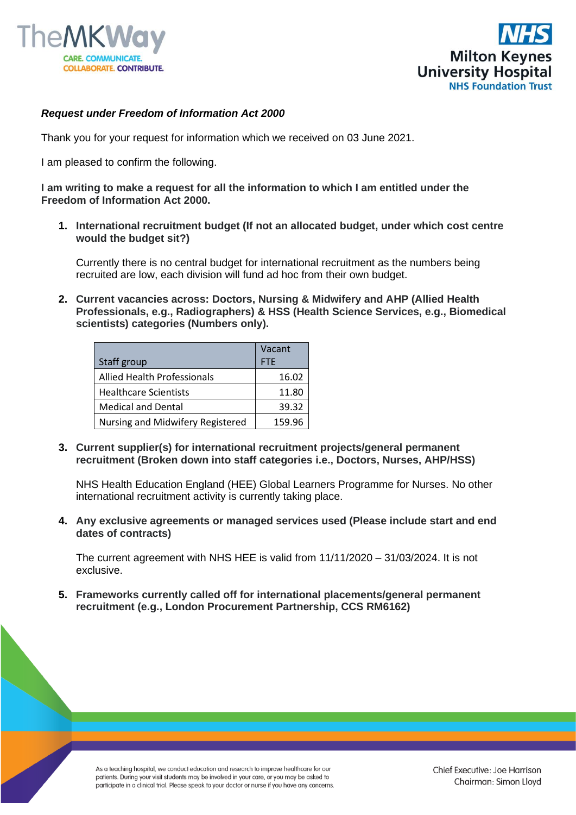



## *Request under Freedom of Information Act 2000*

Thank you for your request for information which we received on 03 June 2021.

I am pleased to confirm the following.

**I am writing to make a request for all the information to which I am entitled under the Freedom of Information Act 2000.**

**1. International recruitment budget (If not an allocated budget, under which cost centre would the budget sit?)**

Currently there is no central budget for international recruitment as the numbers being recruited are low, each division will fund ad hoc from their own budget.

**2. Current vacancies across: Doctors, Nursing & Midwifery and AHP (Allied Health Professionals, e.g., Radiographers) & HSS (Health Science Services, e.g., Biomedical scientists) categories (Numbers only).**

|                                    | Vacant     |
|------------------------------------|------------|
| Staff group                        | <b>FTE</b> |
| <b>Allied Health Professionals</b> | 16.02      |
| <b>Healthcare Scientists</b>       | 11.80      |
| <b>Medical and Dental</b>          | 39.32      |
| Nursing and Midwifery Registered   | 159.96     |

**3. Current supplier(s) for international recruitment projects/general permanent recruitment (Broken down into staff categories i.e., Doctors, Nurses, AHP/HSS)**

NHS Health Education England (HEE) Global Learners Programme for Nurses. No other international recruitment activity is currently taking place.

**4. Any exclusive agreements or managed services used (Please include start and end dates of contracts)**

The current agreement with NHS HEE is valid from 11/11/2020 – 31/03/2024. It is not exclusive.

**5. Frameworks currently called off for international placements/general permanent recruitment (e.g., London Procurement Partnership, CCS RM6162)**

As a teaching hospital, we conduct education and research to improve healthcare for our patients. During your visit students may be involved in your care, or you may be asked to participate in a clinical trial. Please speak to your doctor or nurse if you have any concerns.